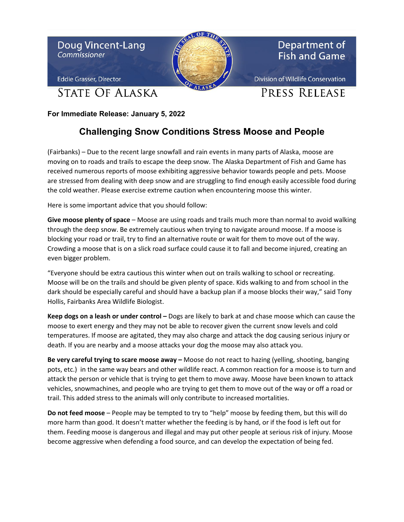

**For Immediate Release: January 5, 2022**

## **Challenging Snow Conditions Stress Moose and People**

(Fairbanks) – Due to the recent large snowfall and rain events in many parts of Alaska, moose are moving on to roads and trails to escape the deep snow. The Alaska Department of Fish and Game has received numerous reports of moose exhibiting aggressive behavior towards people and pets. Moose are stressed from dealing with deep snow and are struggling to find enough easily accessible food during the cold weather. Please exercise extreme caution when encountering moose this winter.

Here is some important advice that you should follow:

**Give moose plenty of space** – Moose are using roads and trails much more than normal to avoid walking through the deep snow. Be extremely cautious when trying to navigate around moose. If a moose is blocking your road or trail, try to find an alternative route or wait for them to move out of the way. Crowding a moose that is on a slick road surface could cause it to fall and become injured, creating an even bigger problem.

"Everyone should be extra cautious this winter when out on trails walking to school or recreating. Moose will be on the trails and should be given plenty of space. Kids walking to and from school in the dark should be especially careful and should have a backup plan if a moose blocks their way," said Tony Hollis, Fairbanks Area Wildlife Biologist.

**Keep dogs on a leash or under control –** Dogs are likely to bark at and chase moose which can cause the moose to exert energy and they may not be able to recover given the current snow levels and cold temperatures. If moose are agitated, they may also charge and attack the dog causing serious injury or death. If you are nearby and a moose attacks your dog the moose may also attack you.

**Be very careful trying to scare moose away –** Moose do not react to hazing (yelling, shooting, banging pots, etc.) in the same way bears and other wildlife react. A common reaction for a moose is to turn and attack the person or vehicle that is trying to get them to move away. Moose have been known to attack vehicles, snowmachines, and people who are trying to get them to move out of the way or off a road or trail. This added stress to the animals will only contribute to increased mortalities.

**Do not feed moose** – People may be tempted to try to "help" moose by feeding them, but this will do more harm than good. It doesn't matter whether the feeding is by hand, or if the food is left out for them. Feeding moose is dangerous and illegal and may put other people at serious risk of injury. Moose become aggressive when defending a food source, and can develop the expectation of being fed.